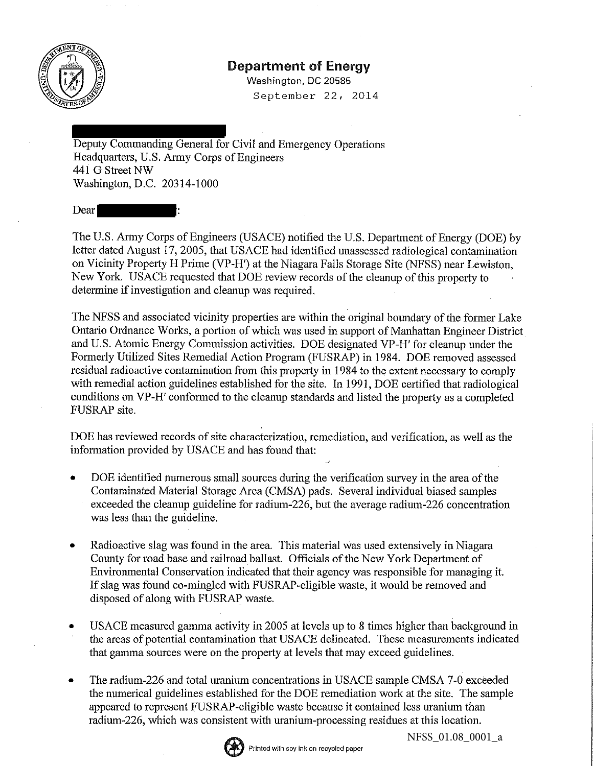

## Department of Energy

Washington, DC 20585 September 22, 2014

Deputy Commanding General for Civil and Emergency Operations Headquarters, U.S. Army Corps of Engineers 441 G Street NW Washington, D.C. 20314-1000

Dear

The U.S. Army Corps of Engineers (USACE) notified the U.S. Department of Energy (DOE) by letter dated August 17, 2005, that USACE had identified unassessed radiological contamination on Vicinity Property H Prime (VP-H') at the Niagara Falls Storage Site (NFSS) near Lewiston, New York. USACE requested that DOE review records of the cleanup of this propetiy to determine if investigation and cleanup was required.

The NFSS and associated vicinity properties are within the original boundary of the former Lake Ontario Ordnance Works, a portion of which was used in support of Manhattan Engineer District and U.S. Atomic Energy Commission activities. DOE designated VP-H' for cleanup under the Formerly Utilized Sites Remedial Action Program (FUSRAP) in 1984. DOE removed assessed residual radioactive contamination from this property in 1984 to the extent necessary to comply with remedial action guidelines established for the site. In 1991, DOE certified that radiological conditions on VP-H' conformed to the cleanup standards and listed the property as a completed FUSRAP site.

DOE has reviewed records of site characterization, remediation, and verification, as well as the information provided by USACE and has found that:

- DOE identified numerous small sources during the verification survey in the area of the Contaminated Material Storage Area (CMSA) pads. Several individual biased samples exceeded the cleanup guideline for radium-226, but the average radium-226 concentration was less than the guideline.
- Radioactive slag was found in the area. This material was used extensively in Niagara County for road base and railroad ballast. Officials of the New York Department of Environmental Conservation indicated that their agency was responsible for managing it. If slag was found co-mingled with FUSRAP-eligible waste, it would be removed and disposed of along with FUSRAP waste.
- USACE measured gamma activity in 2005 at levels up to 8 times higher than background in the areas of potential contamination that USACE delineated. These measurements indicated that gamma sources were on the property at levels that may exceed guidelines.
- The radium-226 and total uranium concentrations in USACE sample CMSA 7-0 exceeded the numerical guidelines established for the DOE remediation work at the site. The sample appeared to represent FUSRAP-eligible waste because it contained less uranium than radium-226, which was consistent with uranium-processing residues at this location.



NFSS\_01.08\_0001\_a